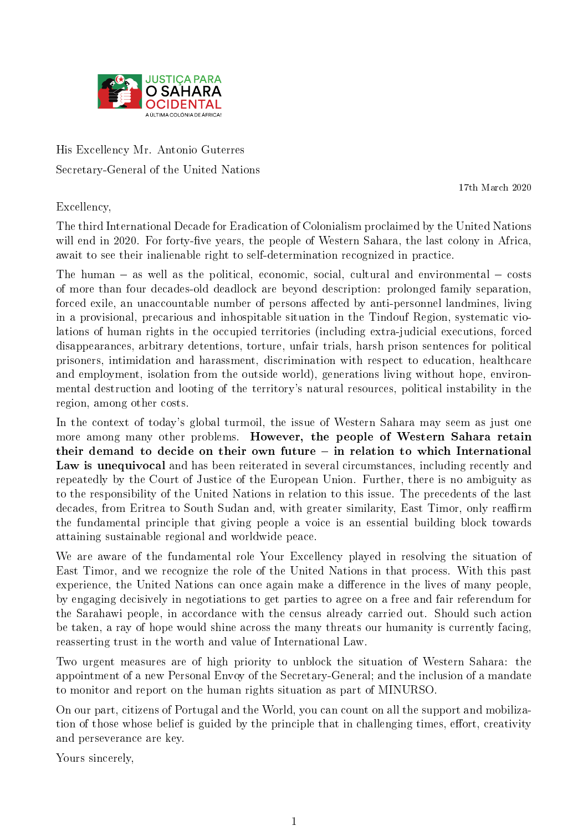

His Excellency Mr. Antonio Guterres Secretary-General of the United Nations

17th March 2020

Excellency,

The third International Decade for Eradication of Colonialism proclaimed by the United Nations will end in 2020. For forty-five years, the people of Western Sahara, the last colony in Africa. await to see their inalienable right to self-determination recognized in practice.

The human  $-$  as well as the political, economic, social, cultural and environmental  $-$  costs of more than four decades-old deadlock are beyond description: prolonged family separation, forced exile, an unaccountable number of persons affected by anti-personnel landmines, living in a provisional, precarious and inhospitable situation in the Tindouf Region, systematic violations of human rights in the occupied territories (including extra-judicial executions, forced disappearances, arbitrary detentions, torture, unfair trials, harsh prison sentences for political prisoners, intimidation and harassment, discrimination with respect to education, healthcare and employment, isolation from the outside world), generations living without hope, environmental destruction and looting of the territory's natural resources, political instability in the region, among other costs.

In the context of today's global turmoil, the issue of Western Sahara may seem as just one more among many other problems. However, the people of Western Sahara retain their demand to decide on their own future  $-$  in relation to which International Law is unequivocal and has been reiterated in several circumstances, including recently and repeatedly by the Court of Justice of the European Union. Further, there is no ambiguity as to the responsibility of the United Nations in relation to this issue. The precedents of the last decades, from Eritrea to South Sudan and, with greater similarity, East Timor, only reaffirm the fundamental principle that giving people a voice is an essential building block towards attaining sustainable regional and worldwide peace.

We are aware of the fundamental role Your Excellency played in resolving the situation of East Timor, and we recognize the role of the United Nations in that process. With this past experience, the United Nations can once again make a difference in the lives of many people. by engaging decisively in negotiations to get parties to agree on a free and fair referendum for the Sarahawi people, in accordance with the census already carried out. Should such action be taken, a ray of hope would shine across the many threats our humanity is currently facing, reasserting trust in the worth and value of International Law.

Two urgent measures are of high priority to unblock the situation of Western Sahara: the appointment of a new Personal Envoy of the Secretary-General; and the inclusion of a mandate to monitor and report on the human rights situation as part of MINURSO.

On our part, citizens of Portugal and the World, you can count on all the support and mobilization of those whose belief is guided by the principle that in challenging times, effort, creativity and perseverance are key.

Yours sincerely,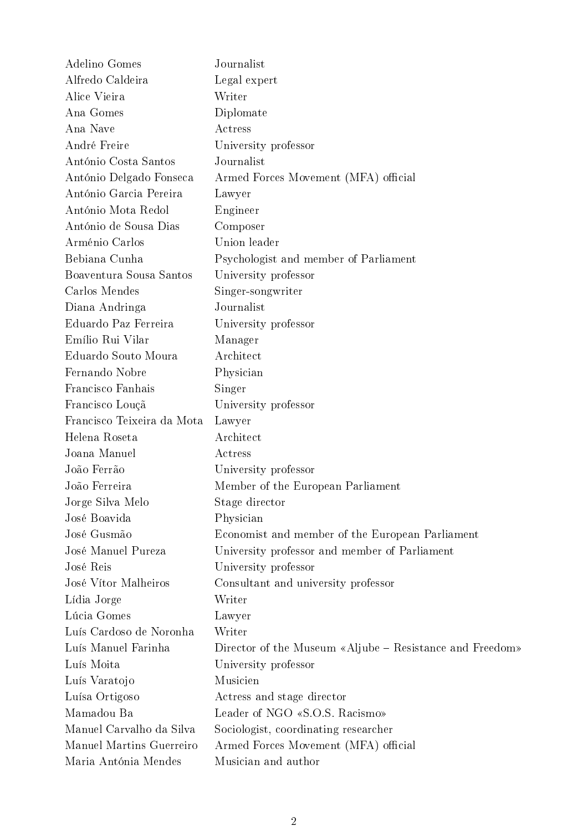| Adelino Gomes              | Journalist                                               |
|----------------------------|----------------------------------------------------------|
| Alfredo Caldeira           | Legal expert                                             |
| Alice Vieira               | Writer                                                   |
| Ana Gomes                  | Diplomate                                                |
| Ana Nave                   | Actress                                                  |
| André Freire               | University professor                                     |
| António Costa Santos       | Journalist                                               |
| António Delgado Fonseca    | Armed Forces Movement (MFA) official                     |
| António Garcia Pereira     | Lawyer                                                   |
| António Mota Redol         | Engineer                                                 |
| António de Sousa Dias      | Composer                                                 |
| Arménio Carlos             | Union leader                                             |
| Bebiana Cunha              | Psychologist and member of Parliament                    |
| Boaventura Sousa Santos    | University professor                                     |
| Carlos Mendes              | Singer-songwriter                                        |
| Diana Andringa             | Journalist                                               |
| Eduardo Paz Ferreira       | University professor                                     |
| Emílio Rui Vilar           | Manager                                                  |
| Eduardo Souto Moura        | Architect                                                |
| Fernando Nobre             | Physician                                                |
| Francisco Fanhais          | Singer                                                   |
| Francisco Louçã            | University professor                                     |
| Francisco Teixeira da Mota | Lawyer                                                   |
| Helena Roseta              | Architect                                                |
| Joana Manuel               | Actress                                                  |
| João Ferrão                | University professor                                     |
| João Ferreira              | Member of the European Parliament                        |
| Jorge Silva Melo           | Stage director                                           |
| José Boavida               | Physician                                                |
| José Gusmão                | Economist and member of the European Parliament          |
| José Manuel Pureza         | University professor and member of Parliament            |
| José Reis                  | University professor                                     |
| José Vítor Malheiros       | Consultant and university professor                      |
| Lídia Jorge                | Writer                                                   |
| Lúcia Gomes                | Lawyer                                                   |
| Luís Cardoso de Noronha    | Writer                                                   |
| Luís Manuel Farinha        | Director of the Museum «Aljube – Resistance and Freedom» |
| Luís Moita                 | University professor                                     |
| Luís Varatojo              | Musicien                                                 |
| Luísa Ortigoso             | Actress and stage director                               |
| Mamadou Ba                 | Leader of NGO «S.O.S. Racismo»                           |
| Manuel Carvalho da Silva   | Sociologist, coordinating researcher                     |
| Manuel Martins Guerreiro   | Armed Forces Movement (MFA) official                     |
| Maria Antónia Mendes       | Musician and author                                      |